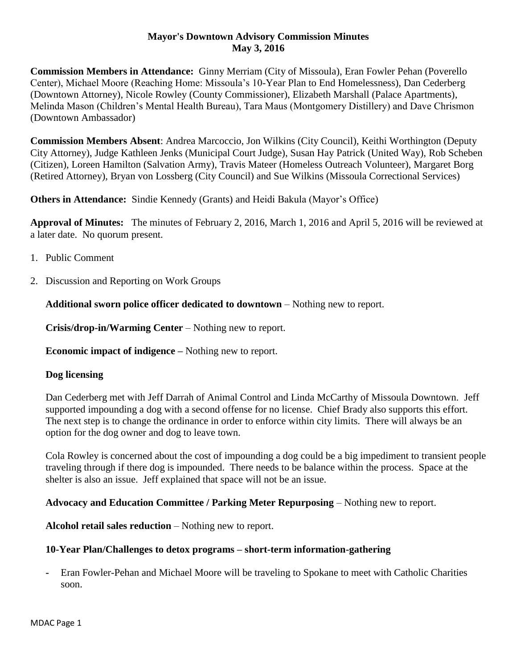### **Mayor's Downtown Advisory Commission Minutes May 3, 2016**

**Commission Members in Attendance:** Ginny Merriam (City of Missoula), Eran Fowler Pehan (Poverello Center), Michael Moore (Reaching Home: Missoula's 10-Year Plan to End Homelessness), Dan Cederberg (Downtown Attorney), Nicole Rowley (County Commissioner), Elizabeth Marshall (Palace Apartments), Melinda Mason (Children's Mental Health Bureau), Tara Maus (Montgomery Distillery) and Dave Chrismon (Downtown Ambassador)

**Commission Members Absent**: Andrea Marcoccio, Jon Wilkins (City Council), Keithi Worthington (Deputy City Attorney), Judge Kathleen Jenks (Municipal Court Judge), Susan Hay Patrick (United Way), Rob Scheben (Citizen), Loreen Hamilton (Salvation Army), Travis Mateer (Homeless Outreach Volunteer), Margaret Borg (Retired Attorney), Bryan von Lossberg (City Council) and Sue Wilkins (Missoula Correctional Services)

**Others in Attendance:** Sindie Kennedy (Grants) and Heidi Bakula (Mayor's Office)

**Approval of Minutes:** The minutes of February 2, 2016, March 1, 2016 and April 5, 2016 will be reviewed at a later date. No quorum present.

- 1. Public Comment
- 2. Discussion and Reporting on Work Groups

**Additional sworn police officer dedicated to downtown** – Nothing new to report.

**Crisis/drop-in/Warming Center** – Nothing new to report.

**Economic impact of indigence –** Nothing new to report.

# **Dog licensing**

Dan Cederberg met with Jeff Darrah of Animal Control and Linda McCarthy of Missoula Downtown. Jeff supported impounding a dog with a second offense for no license. Chief Brady also supports this effort. The next step is to change the ordinance in order to enforce within city limits. There will always be an option for the dog owner and dog to leave town.

Cola Rowley is concerned about the cost of impounding a dog could be a big impediment to transient people traveling through if there dog is impounded. There needs to be balance within the process. Space at the shelter is also an issue. Jeff explained that space will not be an issue.

# **Advocacy and Education Committee / Parking Meter Repurposing** – Nothing new to report.

**Alcohol retail sales reduction** – Nothing new to report.

# **10-Year Plan/Challenges to detox programs – short-term information-gathering**

**-** Eran Fowler-Pehan and Michael Moore will be traveling to Spokane to meet with Catholic Charities soon.